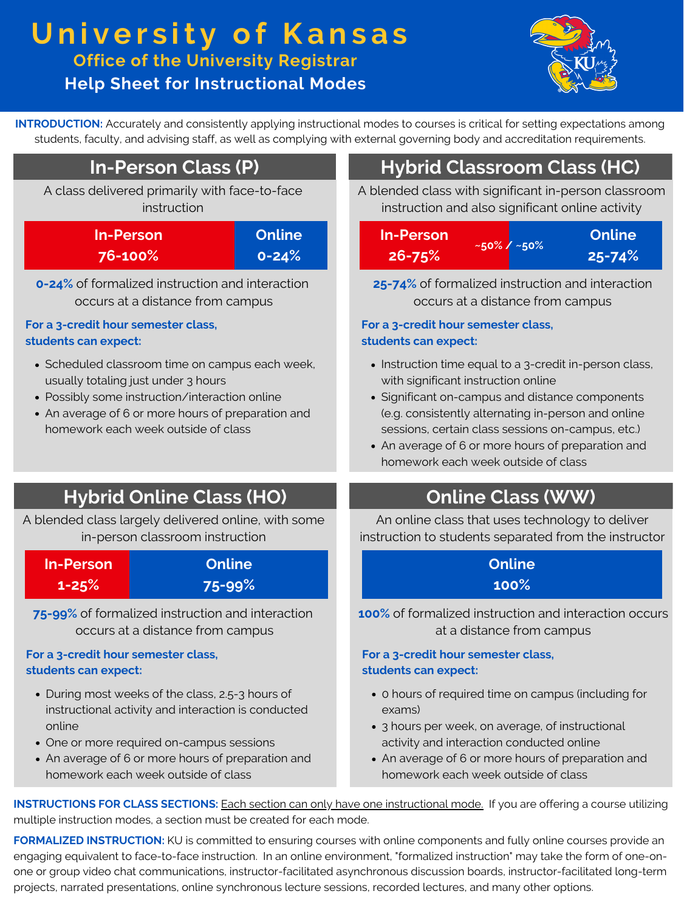**INTRODUCTION:** Accurately and consistently applying instructional modes to courses is critical for setting expectations among students, faculty, and advising staff, as well as complying with external governing body and accreditation requirements.

# **DEGREES In-Person Class (P) Hybrid Classroom Class (HC)**

**Help Sheet for Instructional Modes**



A class delivered primarily with face-to-face instruction

- Scheduled classroom time on campus each week, usually totaling just under 3 hours
- Possibly some instruction/interaction online
- An average of 6 or more hours of preparation and homework each week outside of class

| In-Person | Online    |
|-----------|-----------|
| 76-100%   | $0 - 24%$ |

A blended class with significant in-person classroom instruction and also significant online activity

**0-24%** of formalized instruction and interaction occurs at a distance from campus

- Instruction time equal to a 3-credit in-person class, with significant instruction online
- Significant on-campus and distance components (e.g. consistently alternating in-person and online sessions, certain class sessions on-campus, etc.)
- An average of 6 or more hours of preparation and homework each week outside of class

## **Hybrid Online Class (HO)**

#### **For a 3-credit hour semester class, students can expect:**

**25-74%** of formalized instruction and interaction occurs at a distance from campus

- During most weeks of the class, 2.5-3 hours of instructional activity and interaction is conducted online
- One or more required on-campus sessions
- An average of 6 or more hours of preparation and homework each week outside of class

## **Online Class (WW)**

- 0 hours of required time on campus (including for exams)
- 3 hours per week, on average, of instructional activity and interaction conducted online
- An average of 6 or more hours of preparation and homework each week outside of class

#### **For a 3-credit hour semester class, students can expect:**

A blended class largely delivered online, with some in-person classroom instruction

| In-Person | Online |
|-----------|--------|
| $1 - 25%$ | 75-99% |

### **Online 100%**

An online class that uses technology to deliver instruction to students separated from the instructor

# **U n i v e r s it y o f Ka n s a s Office of the University Registrar**

**75-99%** of formalized instruction and interaction occurs at a distance from campus

| In-Person  | $\sim$ 50% / $\sim$ 50% | Online |            |
|------------|-------------------------|--------|------------|
| $26 - 75%$ |                         |        | $25 - 74%$ |

#### **For a 3-credit hour semester class, students can expect:**

**100%** of formalized instruction and interaction occurs at a distance from campus

#### **For a 3-credit hour semester class, students can expect:**

**INSTRUCTIONS FOR CLASS SECTIONS:** Each section can only have one instructional mode. If you are offering a course utilizing multiple instruction modes, a section must be created for each mode.

**FORMALIZED INSTRUCTION:** KU is committed to ensuring courses with online components and fully online courses provide an engaging equivalent to face-to-face instruction. In an online environment, "formalized instruction" may take the form of one-onone or group video chat communications, instructor-facilitated asynchronous discussion boards, instructor-facilitated long-term projects, narrated presentations, online synchronous lecture sessions, recorded lectures, and many other options.